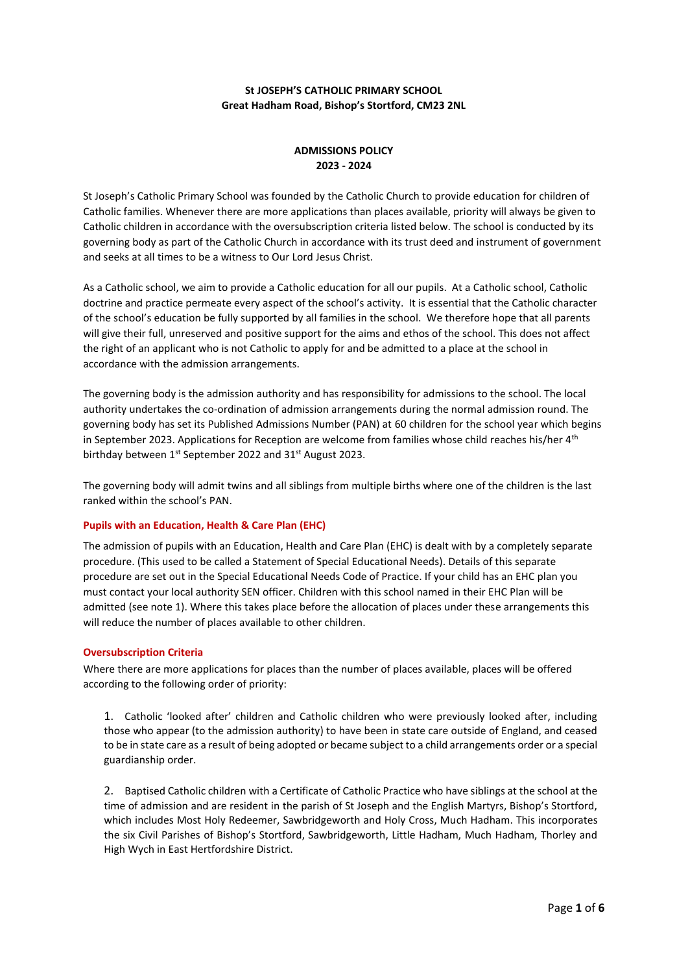# **St JOSEPH'S CATHOLIC PRIMARY SCHOOL Great Hadham Road, Bishop's Stortford, CM23 2NL**

# **ADMISSIONS POLICY 2023 - 2024**

St Joseph's Catholic Primary School was founded by the Catholic Church to provide education for children of Catholic families. Whenever there are more applications than places available, priority will always be given to Catholic children in accordance with the oversubscription criteria listed below. The school is conducted by its governing body as part of the Catholic Church in accordance with its trust deed and instrument of government and seeks at all times to be a witness to Our Lord Jesus Christ.

As a Catholic school, we aim to provide a Catholic education for all our pupils. At a Catholic school, Catholic doctrine and practice permeate every aspect of the school's activity. It is essential that the Catholic character of the school's education be fully supported by all families in the school. We therefore hope that all parents will give their full, unreserved and positive support for the aims and ethos of the school. This does not affect the right of an applicant who is not Catholic to apply for and be admitted to a place at the school in accordance with the admission arrangements.

The governing body is the admission authority and has responsibility for admissions to the school. The local authority undertakes the co-ordination of admission arrangements during the normal admission round. The governing body has set its Published Admissions Number (PAN) at 60 children for the school year which begins in September 2023. Applications for Reception are welcome from families whose child reaches his/her 4<sup>th</sup> birthday between 1<sup>st</sup> September 2022 and 31<sup>st</sup> August 2023.

The governing body will admit twins and all siblings from multiple births where one of the children is the last ranked within the school's PAN.

# **Pupils with an Education, Health & Care Plan (EHC)**

The admission of pupils with an Education, Health and Care Plan (EHC) is dealt with by a completely separate procedure. (This used to be called a Statement of Special Educational Needs). Details of this separate procedure are set out in the Special Educational Needs Code of Practice. If your child has an EHC plan you must contact your local authority SEN officer. Children with this school named in their EHC Plan will be admitted (see note 1). Where this takes place before the allocation of places under these arrangements this will reduce the number of places available to other children.

# **Oversubscription Criteria**

Where there are more applications for places than the number of places available, places will be offered according to the following order of priority:

1. Catholic 'looked after' children and Catholic children who were previously looked after, including those who appear (to the admission authority) to have been in state care outside of England, and ceased to be in state care as a result of being adopted or became subject to a child arrangements order or a special guardianship order.

2. Baptised Catholic children with a Certificate of Catholic Practice who have siblings at the school at the time of admission and are resident in the parish of St Joseph and the English Martyrs, Bishop's Stortford, which includes Most Holy Redeemer, Sawbridgeworth and Holy Cross, Much Hadham. This incorporates the six Civil Parishes of Bishop's Stortford, Sawbridgeworth, Little Hadham, Much Hadham, Thorley and High Wych in East Hertfordshire District.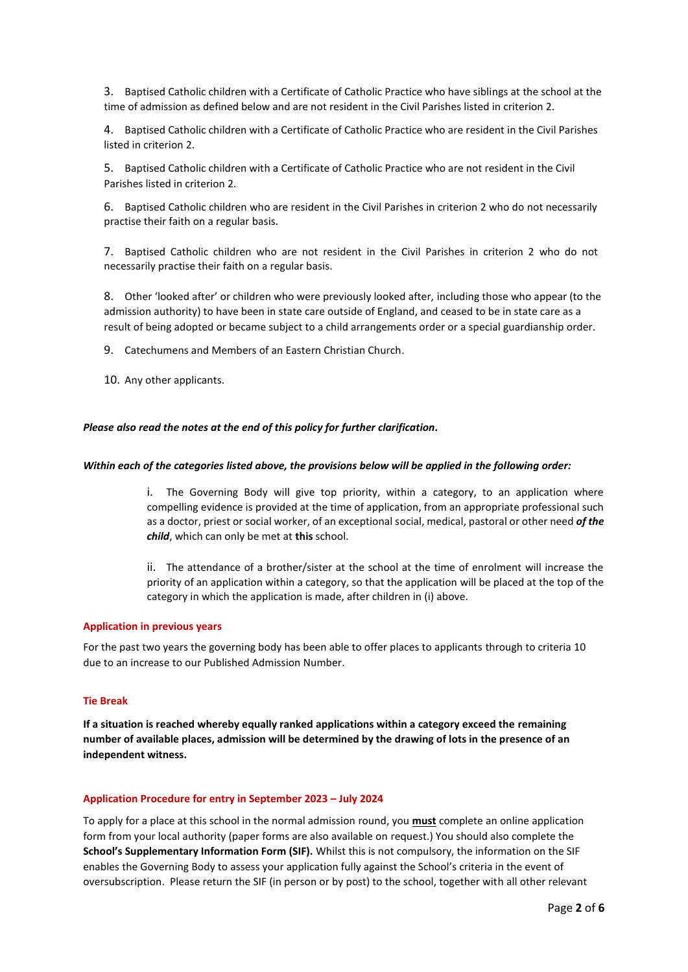3. Baptised Catholic children with a Certificate of Catholic Practice who have siblings at the school at the time of admission as defined below and are not resident in the Civil Parishes listed in criterion 2.

4. Baptised Catholic children with a Certificate of Catholic Practice who are resident in the Civil Parishes listed in criterion 2.

5. Baptised Catholic children with a Certificate of Catholic Practice who are not resident in the Civil Parishes listed in criterion 2.

6. Baptised Catholic children who are resident in the Civil Parishes in criterion 2 who do not necessarily practise their faith on a regular basis.

7. Baptised Catholic children who are not resident in the Civil Parishes in criterion 2 who do not necessarily practise their faith on a regular basis.

8. Other 'looked after' or children who were previously looked after, including those who appear (to the admission authority) to have been in state care outside of England, and ceased to be in state care as a result of being adopted or became subject to a child arrangements order or a special guardianship order.

9. Catechumens and Members of an Eastern Christian Church.

10. Any other applicants.

#### *Please also read the notes at the end of this policy for further clarification.*

#### *Within each of the categories listed above, the provisions below will be applied in the following order:*

i. The Governing Body will give top priority, within a category, to an application where compelling evidence is provided at the time of application, from an appropriate professional such as a doctor, priest or social worker, of an exceptional social, medical, pastoral or other need *of the child*, which can only be met at **this** school.

ii. The attendance of a brother/sister at the school at the time of enrolment will increase the priority of an application within a category, so that the application will be placed at the top of the category in which the application is made, after children in (i) above.

### **Application in previous years**

For the past two years the governing body has been able to offer places to applicants through to criteria 10 due to an increase to our Published Admission Number.

## **Tie Break**

**If a situation is reached whereby equally ranked applications within a category exceed the remaining number of available places, admission will be determined by the drawing of lots in the presence of an independent witness.**

#### **Application Procedure for entry in September 2023 – July 2024**

To apply for a place at this school in the normal admission round, you **must** complete an online application form from your local authority (paper forms are also available on request.) You should also complete the **School's Supplementary Information Form (SIF).** Whilst this is not compulsory, the information on the SIF enables the Governing Body to assess your application fully against the School's criteria in the event of oversubscription. Please return the SIF (in person or by post) to the school, together with all other relevant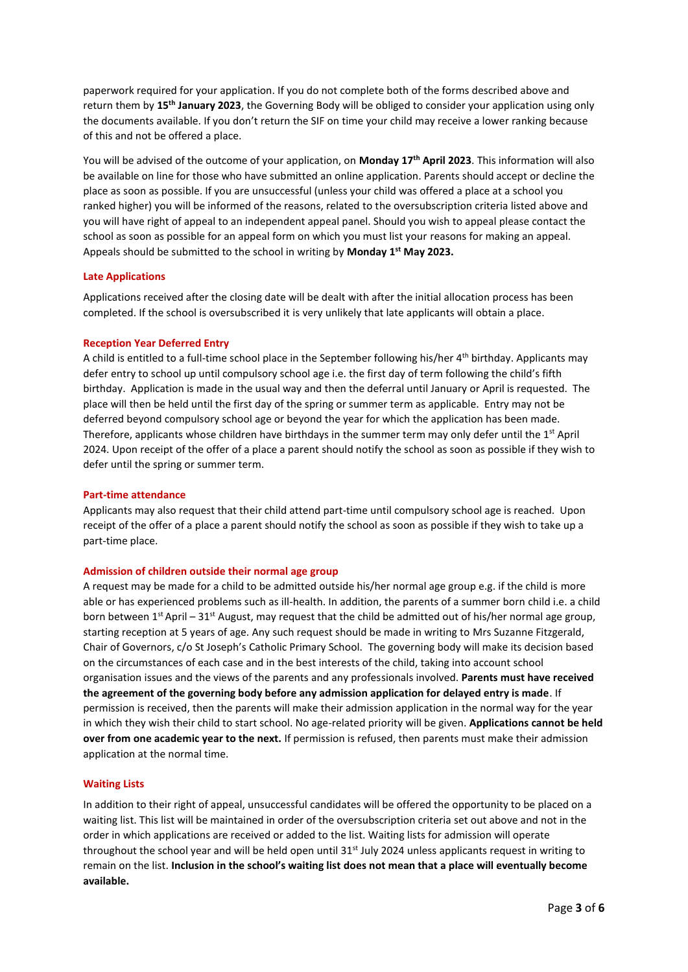paperwork required for your application. If you do not complete both of the forms described above and return them by **15th January 2023**, the Governing Body will be obliged to consider your application using only the documents available. If you don't return the SIF on time your child may receive a lower ranking because of this and not be offered a place.

You will be advised of the outcome of your application, on **Monday 17th April 2023**. This information will also be available on line for those who have submitted an online application. Parents should accept or decline the place as soon as possible. If you are unsuccessful (unless your child was offered a place at a school you ranked higher) you will be informed of the reasons, related to the oversubscription criteria listed above and you will have right of appeal to an independent appeal panel. Should you wish to appeal please contact the school as soon as possible for an appeal form on which you must list your reasons for making an appeal. Appeals should be submitted to the school in writing by **Monday 1st May 2023.**

# **Late Applications**

Applications received after the closing date will be dealt with after the initial allocation process has been completed. If the school is oversubscribed it is very unlikely that late applicants will obtain a place.

#### **Reception Year Deferred Entry**

A child is entitled to a full-time school place in the September following his/her 4th birthday. Applicants may defer entry to school up until compulsory school age i.e. the first day of term following the child's fifth birthday. Application is made in the usual way and then the deferral until January or April is requested. The place will then be held until the first day of the spring or summer term as applicable. Entry may not be deferred beyond compulsory school age or beyond the year for which the application has been made. Therefore, applicants whose children have birthdays in the summer term may only defer until the 1<sup>st</sup> April 2024. Upon receipt of the offer of a place a parent should notify the school as soon as possible if they wish to defer until the spring or summer term.

#### **Part-time attendance**

Applicants may also request that their child attend part-time until compulsory school age is reached. Upon receipt of the offer of a place a parent should notify the school as soon as possible if they wish to take up a part-time place.

#### **Admission of children outside their normal age group**

A request may be made for a child to be admitted outside his/her normal age group e.g. if the child is more able or has experienced problems such as ill-health. In addition, the parents of a summer born child i.e. a child born between  $1^{st}$  April – 31st August, may request that the child be admitted out of his/her normal age group, starting reception at 5 years of age. Any such request should be made in writing to Mrs Suzanne Fitzgerald, Chair of Governors, c/o St Joseph's Catholic Primary School. The governing body will make its decision based on the circumstances of each case and in the best interests of the child, taking into account school organisation issues and the views of the parents and any professionals involved. **Parents must have received the agreement of the governing body before any admission application for delayed entry is made**. If permission is received, then the parents will make their admission application in the normal way for the year in which they wish their child to start school. No age-related priority will be given. **Applications cannot be held over from one academic year to the next.** If permission is refused, then parents must make their admission application at the normal time.

#### **Waiting Lists**

In addition to their right of appeal, unsuccessful candidates will be offered the opportunity to be placed on a waiting list. This list will be maintained in order of the oversubscription criteria set out above and not in the order in which applications are received or added to the list. Waiting lists for admission will operate throughout the school year and will be held open until  $31<sup>st</sup>$  July 2024 unless applicants request in writing to remain on the list. **Inclusion in the school's waiting list does not mean that a place will eventually become available.**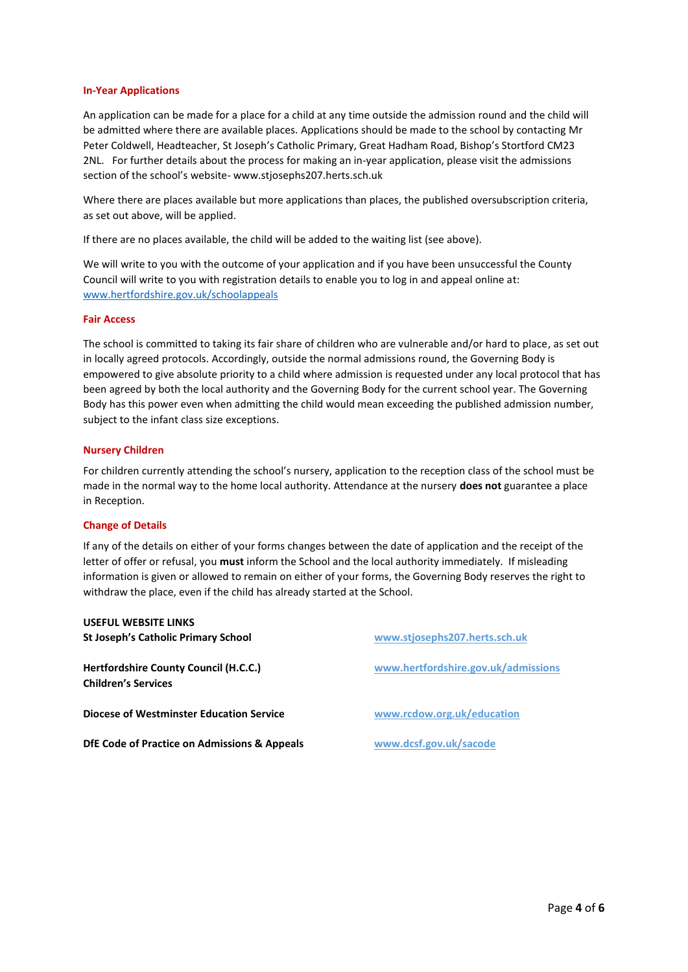### **In-Year Applications**

An application can be made for a place for a child at any time outside the admission round and the child will be admitted where there are available places. Applications should be made to the school by contacting Mr Peter Coldwell, Headteacher, St Joseph's Catholic Primary, Great Hadham Road, Bishop's Stortford CM23 2NL. For further details about the process for making an in-year application, please visit the admissions section of the school's website- www.stjosephs207.herts.sch.uk

Where there are places available but more applications than places, the published oversubscription criteria, as set out above, will be applied.

If there are no places available, the child will be added to the waiting list (see above).

We will write to you with the outcome of your application and if you have been unsuccessful the County Council will write to you with registration details to enable you to log in and appeal online at: [www.hertfordshire.gov.uk/schoolappeals](file:///C:/Users/pcoldwell/Dropbox/Pete/www.hertfordshire.gov.uk/schoolappeals)

#### **Fair Access**

The school is committed to taking its fair share of children who are vulnerable and/or hard to place, as set out in locally agreed protocols. Accordingly, outside the normal admissions round, the Governing Body is empowered to give absolute priority to a child where admission is requested under any local protocol that has been agreed by both the local authority and the Governing Body for the current school year. The Governing Body has this power even when admitting the child would mean exceeding the published admission number, subject to the infant class size exceptions.

## **Nursery Children**

For children currently attending the school's nursery, application to the reception class of the school must be made in the normal way to the home local authority. Attendance at the nursery **does not** guarantee a place in Reception.

# **Change of Details**

If any of the details on either of your forms changes between the date of application and the receipt of the letter of offer or refusal, you **must** inform the School and the local authority immediately. If misleading information is given or allowed to remain on either of your forms, the Governing Body reserves the right to withdraw the place, even if the child has already started at the School.

| <b>USEFUL WEBSITE LINKS</b>                                         |                                     |
|---------------------------------------------------------------------|-------------------------------------|
| <b>St Joseph's Catholic Primary School</b>                          | www.stjosephs207.herts.sch.uk       |
| Hertfordshire County Council (H.C.C.)<br><b>Children's Services</b> | www.hertfordshire.gov.uk/admissions |
| <b>Diocese of Westminster Education Service</b>                     | www.rcdow.org.uk/education          |
| DfE Code of Practice on Admissions & Appeals                        | www.dcsf.gov.uk/sacode              |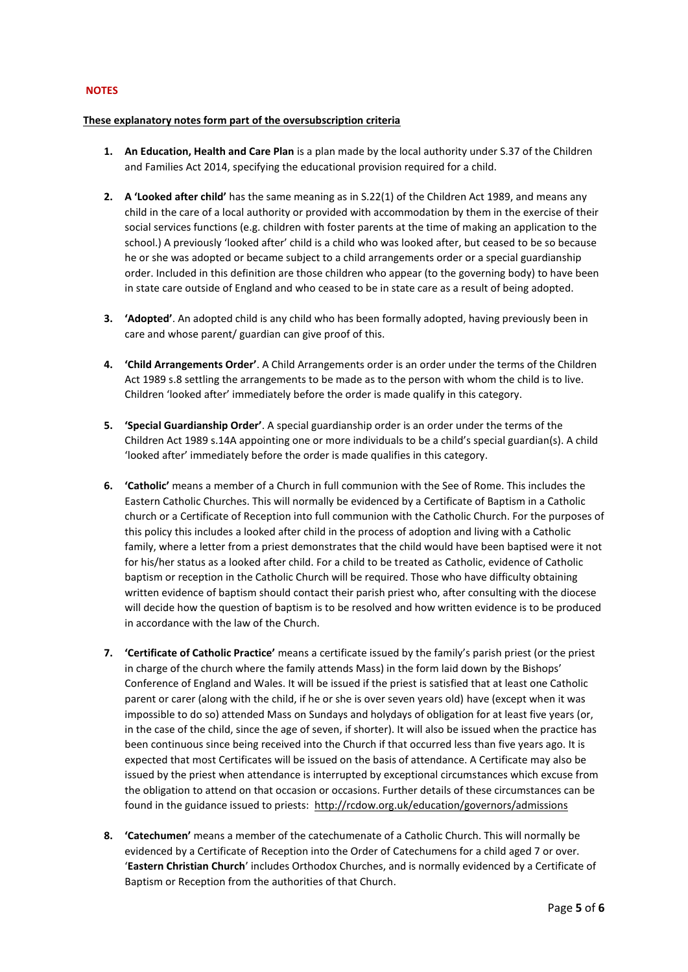## **NOTES**

### **These explanatory notes form part of the oversubscription criteria**

- **1. An Education, Health and Care Plan** is a plan made by the local authority under S.37 of the Children and Families Act 2014, specifying the educational provision required for a child.
- **2. A 'Looked after child'** has the same meaning as in S.22(1) of the Children Act 1989, and means any child in the care of a local authority or provided with accommodation by them in the exercise of their social services functions (e.g. children with foster parents at the time of making an application to the school.) A previously 'looked after' child is a child who was looked after, but ceased to be so because he or she was adopted or became subject to a child arrangements order or a special guardianship order. Included in this definition are those children who appear (to the governing body) to have been in state care outside of England and who ceased to be in state care as a result of being adopted.
- **3. 'Adopted'**. An adopted child is any child who has been formally adopted, having previously been in care and whose parent/ guardian can give proof of this.
- **4. 'Child Arrangements Order'**. A Child Arrangements order is an order under the terms of the Children Act 1989 s.8 settling the arrangements to be made as to the person with whom the child is to live. Children 'looked after' immediately before the order is made qualify in this category.
- **5. 'Special Guardianship Order'**. A special guardianship order is an order under the terms of the Children Act 1989 s.14A appointing one or more individuals to be a child's special guardian(s). A child 'looked after' immediately before the order is made qualifies in this category.
- **6. 'Catholic'** means a member of a Church in full communion with the See of Rome. This includes the Eastern Catholic Churches. This will normally be evidenced by a Certificate of Baptism in a Catholic church or a Certificate of Reception into full communion with the Catholic Church. For the purposes of this policy this includes a looked after child in the process of adoption and living with a Catholic family, where a letter from a priest demonstrates that the child would have been baptised were it not for his/her status as a looked after child. For a child to be treated as Catholic, evidence of Catholic baptism or reception in the Catholic Church will be required. Those who have difficulty obtaining written evidence of baptism should contact their parish priest who, after consulting with the diocese will decide how the question of baptism is to be resolved and how written evidence is to be produced in accordance with the law of the Church.
- **7. 'Certificate of Catholic Practice'** means a certificate issued by the family's parish priest (or the priest in charge of the church where the family attends Mass) in the form laid down by the Bishops' Conference of England and Wales. It will be issued if the priest is satisfied that at least one Catholic parent or carer (along with the child, if he or she is over seven years old) have (except when it was impossible to do so) attended Mass on Sundays and holydays of obligation for at least five years (or, in the case of the child, since the age of seven, if shorter). It will also be issued when the practice has been continuous since being received into the Church if that occurred less than five years ago. It is expected that most Certificates will be issued on the basis of attendance. A Certificate may also be issued by the priest when attendance is interrupted by exceptional circumstances which excuse from the obligation to attend on that occasion or occasions. Further details of these circumstances can be found in the guidance issued to priests: <http://rcdow.org.uk/education/governors/admissions>
- **8. 'Catechumen'** means a member of the catechumenate of a Catholic Church. This will normally be evidenced by a Certificate of Reception into the Order of Catechumens for a child aged 7 or over. '**Eastern Christian Church**' includes Orthodox Churches, and is normally evidenced by a Certificate of Baptism or Reception from the authorities of that Church.